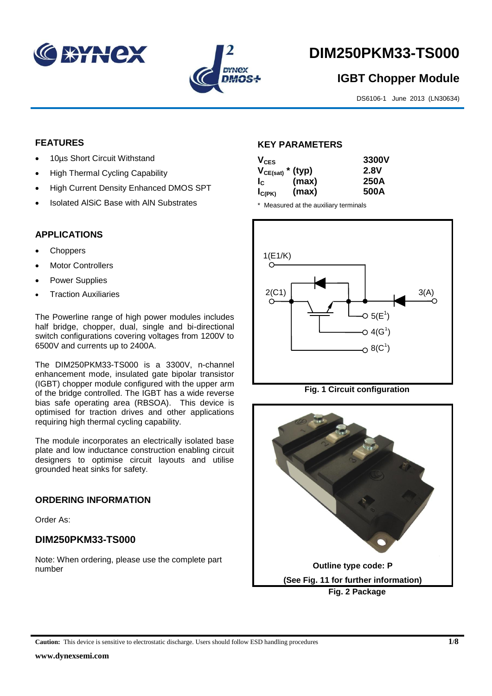



# **DIM250PKM33-TS000**

# **IGBT Chopper Module**

DS6106-1 June 2013 (LN30634)

# **FEATURES**

- 10µs Short Circuit Withstand
- High Thermal Cycling Capability
- High Current Density Enhanced DMOS SPT
- Isolated AlSiC Base with AlN Substrates

# **APPLICATIONS**

- **Choppers**
- Motor Controllers
- Power Supplies
- Traction Auxiliaries

The Powerline range of high power modules includes half bridge, chopper, dual, single and bi-directional switch configurations covering voltages from 1200V to 6500V and currents up to 2400A.

The DIM250PKM33-TS000 is a 3300V, n-channel enhancement mode, insulated gate bipolar transistor (IGBT) chopper module configured with the upper arm of the bridge controlled. The IGBT has a wide reverse bias safe operating area (RBSOA). This device is optimised for traction drives and other applications requiring high thermal cycling capability.

The module incorporates an electrically isolated base plate and low inductance construction enabling circuit designers to optimise circuit layouts and utilise grounded heat sinks for safety.

# **ORDERING INFORMATION**

Order As:

# **DIM250PKM33-TS000**

Note: When ordering, please use the complete part number

# **KEY PARAMETERS**

| $V_{CES}$             |       | 3300V |
|-----------------------|-------|-------|
| $V_{CE(sat)}$ * (typ) |       | 2.8V  |
| $I_{\rm c}$           | (max) | 250A  |
| $I_{C(PK)}$           | (max) | 500A  |

\* Measured at the auxiliary terminals



**Fig. 1 Circuit configuration**



**Caution:** This device is sensitive to electrostatic discharge. Users should follow ESD handling procedures **1/8**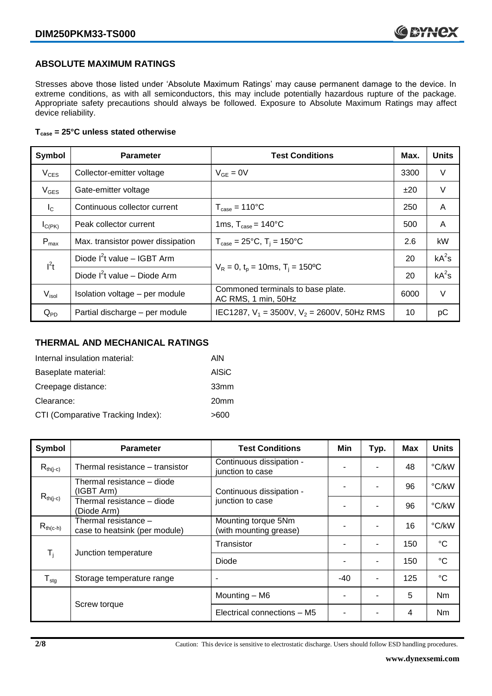# **ABSOLUTE MAXIMUM RATINGS**

Stresses above those listed under 'Absolute Maximum Ratings' may cause permanent damage to the device. In extreme conditions, as with all semiconductors, this may include potentially hazardous rupture of the package. Appropriate safety precautions should always be followed. Exposure to Absolute Maximum Ratings may affect device reliability.

#### **Tcase = 25°C unless stated otherwise**

| Symbol           | <b>Parameter</b>                                                                        | <b>Test Conditions</b>                                   |      | <b>Units</b> |
|------------------|-----------------------------------------------------------------------------------------|----------------------------------------------------------|------|--------------|
| $V_{CES}$        | Collector-emitter voltage                                                               | $V_{GE} = 0V$                                            | 3300 | V            |
| $V_{GES}$        | Gate-emitter voltage                                                                    |                                                          | ±20  | $\vee$       |
| $I_{\rm C}$      | Continuous collector current                                                            | $T_{\text{case}} = 110^{\circ}C$                         | 250  | A            |
| $I_{C(PK)}$      | Peak collector current                                                                  | 1ms, $T_{\text{case}} = 140^{\circ}$ C                   | 500  | A            |
| $P_{\text{max}}$ | Max. transistor power dissipation                                                       | $T_{\text{case}} = 25^{\circ}C$ , $T_i = 150^{\circ}C$   | 2.6  | kW           |
| $I^2t$           | Diode $I^2$ t value – IGBT Arm                                                          |                                                          |      | $kA^2s$      |
|                  | $V_R = 0$ , $t_p = 10$ ms, $T_i = 150$ <sup>o</sup> C<br>Diode $I^2t$ value – Diode Arm |                                                          | 20   | $kA^2s$      |
| $V_{\sf isol}$   | Isolation voltage - per module                                                          | Commoned terminals to base plate.<br>AC RMS, 1 min, 50Hz | 6000 | V            |
| $Q_{PD}$         | Partial discharge - per module                                                          | IEC1287, $V_1$ = 3500V, $V_2$ = 2600V, 50Hz RMS          | 10   | рC           |

# **THERMAL AND MECHANICAL RATINGS**

| Internal insulation material:     | AIN              |
|-----------------------------------|------------------|
| Baseplate material:               | AISiC            |
| Creepage distance:                | 33mm             |
| Clearance:                        | 20 <sub>mm</sub> |
| CTI (Comparative Tracking Index): | >600             |

| Symbol                    | <b>Parameter</b>                                      | <b>Test Conditions</b>                        | Min   | Typ.           | Max | <b>Units</b> |
|---------------------------|-------------------------------------------------------|-----------------------------------------------|-------|----------------|-----|--------------|
| $R_{th(j-c)}$             | Thermal resistance - transistor                       | Continuous dissipation -<br>junction to case  |       | ۰              | 48  | °C/kW        |
|                           | Thermal resistance – diode<br>(IGBT Arm)              | Continuous dissipation -<br>junction to case  |       |                | 96  | °C/kW        |
| $R_{th(j-c)}$             | Thermal resistance - diode<br>(Diode Arm)             |                                               |       | $\blacksquare$ | 96  | °C/kW        |
| $R_{th(c-h)}$             | Thermal resistance -<br>case to heatsink (per module) | Mounting torque 5Nm<br>(with mounting grease) |       | $\blacksquare$ | 16  | °C/kW        |
| $\mathsf{T}_{\mathsf{i}}$ | Junction temperature                                  | Transistor                                    |       | $\blacksquare$ | 150 | °C           |
|                           |                                                       | Diode                                         |       |                | 150 | °C           |
| $T_{\text{stg}}$          | Storage temperature range                             | ٠                                             | $-40$ | $\blacksquare$ | 125 | $^{\circ}C$  |
|                           | Screw torque                                          | Mounting - M6                                 |       |                | 5   | Nm           |
|                           |                                                       | Electrical connections - M5                   |       |                | 4   | Nm           |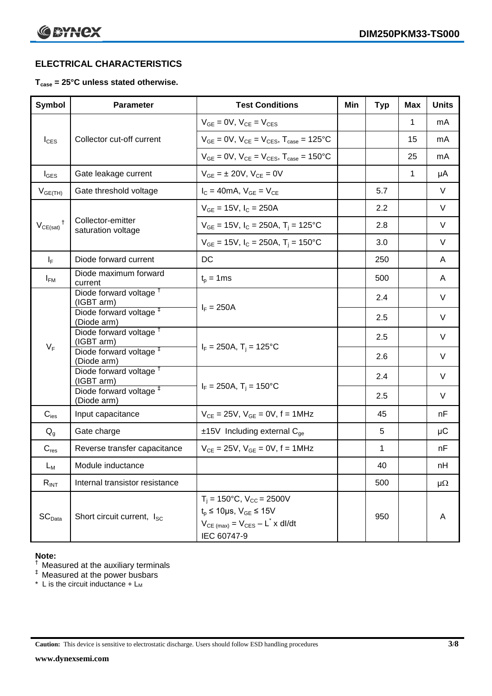# **ELECTRICAL CHARACTERISTICS**

# **Tcase = 25°C unless stated otherwise.**

| Symbol                     | <b>Parameter</b>                                                | <b>Test Conditions</b>                                                                                                                                  | Min | <b>Typ</b> | Max         | <b>Units</b> |
|----------------------------|-----------------------------------------------------------------|---------------------------------------------------------------------------------------------------------------------------------------------------------|-----|------------|-------------|--------------|
|                            |                                                                 | $V_{GE} = 0V$ , $V_{CE} = V_{CES}$                                                                                                                      |     |            | 1           | mA           |
| $I_{\text{CES}}$           | Collector cut-off current                                       | $V_{GF} = 0V$ , $V_{CF} = V_{CFS}$ , $T_{case} = 125^{\circ}C$                                                                                          |     |            | 15          | mA           |
|                            |                                                                 | $V_{GE} = 0V$ , $V_{CE} = V_{CES}$ , $T_{case} = 150^{\circ}$ C                                                                                         |     |            | 25          | mA           |
| $I_{\text{GES}}$           | Gate leakage current                                            | $V_{GE} = \pm 20V$ , $V_{CE} = 0V$                                                                                                                      |     |            | $\mathbf 1$ | μA           |
| $V_{GE(TH)}$               | Gate threshold voltage                                          | $I_C = 40mA$ , $V_{GE} = V_{CE}$                                                                                                                        |     | 5.7        |             | V            |
|                            |                                                                 | $V_{GE}$ = 15V, $I_C$ = 250A                                                                                                                            |     | 2.2        |             | V            |
| $V_{CE(sat)}$ <sup>†</sup> | Collector-emitter<br>saturation voltage                         | $V_{GE}$ = 15V, $I_C$ = 250A, T <sub>i</sub> = 125°C                                                                                                    |     | 2.8        |             | V            |
|                            |                                                                 | $V_{GE}$ = 15V, $I_C$ = 250A, $T_i$ = 150°C                                                                                                             |     | 3.0        |             | V            |
| $I_F$                      | Diode forward current                                           | DC                                                                                                                                                      |     | 250        |             | A            |
| $I_{FM}$                   | Diode maximum forward<br>current                                | $t_{p} = 1$ ms                                                                                                                                          |     | 500        |             | A            |
|                            | Diode forward voltage <sup>+</sup><br>(IGBT arm)                |                                                                                                                                                         |     | 2.4        |             | V            |
|                            | Diode forward voltage <sup>#</sup><br>(Diode arm)               | $I_F = 250A$                                                                                                                                            |     | 2.5        |             | V            |
|                            | Diode forward voltage <sup>T</sup>                              |                                                                                                                                                         |     | 2.5        |             | V            |
| $V_F$                      | (IGBT arm)<br>Diode forward voltage <sup>#</sup>                | $I_F = 250A$ , T <sub>i</sub> = 125°C                                                                                                                   |     | 2.6        |             | V            |
|                            | (Diode arm)<br>Diode forward voltage <sup>†</sup><br>(IGBT arm) |                                                                                                                                                         |     | 2.4        |             | V            |
|                            | Diode forward voltage <sup>#</sup><br>(Diode arm)               | $I_F = 250A$ , T <sub>i</sub> = 150°C                                                                                                                   |     | 2.5        |             | V            |
| $C_{\mathsf{ies}}$         | Input capacitance                                               | $V_{CE} = 25V$ , $V_{GE} = 0V$ , f = 1MHz                                                                                                               |     | 45         |             | nF           |
| $Q_{g}$                    | Gate charge                                                     | $±15V$ Including external C <sub>qe</sub>                                                                                                               |     | 5          |             | $\mu$ C      |
| $C_{res}$                  | Reverse transfer capacitance                                    | $V_{CE} = 25V$ , $V_{GE} = 0V$ , $f = 1MHz$                                                                                                             |     | 1          |             | nF           |
| $L_M$                      | Module inductance                                               |                                                                                                                                                         |     | 40         |             | nH           |
| $R_{INT}$                  | Internal transistor resistance                                  |                                                                                                                                                         |     | 500        |             | $\mu\Omega$  |
| SC <sub>Data</sub>         | Short circuit current, I <sub>SC</sub>                          | $T_i = 150^{\circ}C$ , $V_{CC} = 2500V$<br>$t_p \le 10 \mu s$ , $V_{GE} \le 15 V$<br>$V_{CE \text{ (max)}} = V_{CES} - L^* \times dl/dt$<br>IEC 60747-9 |     | 950        |             | A            |

#### **Note:**

 $<sup>†</sup>$  Measured at the auxiliary terminals</sup>

 $<sup>‡</sup>$  Measured at the power busbars</sup>

\* L is the circuit inductance  $+ L<sub>M</sub>$ 

**Caution:** This device is sensitive to electrostatic discharge. Users should follow ESD handling procedures **3/8**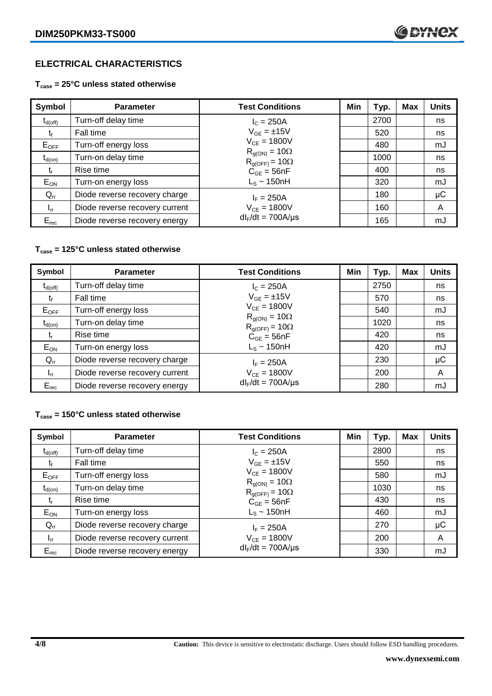# **ELECTRICAL CHARACTERISTICS**

# **Tcase = 25°C unless stated otherwise**

| Symbol       | <b>Parameter</b>               | <b>Test Conditions</b>                            | Min | Typ. | Max | <b>Units</b> |
|--------------|--------------------------------|---------------------------------------------------|-----|------|-----|--------------|
| $t_{d(off)}$ | Turn-off delay time            | $I_{C} = 250A$                                    |     | 2700 |     | ns           |
| t            | Fall time                      | $V_{GE} = \pm 15V$                                |     | 520  |     | ns           |
| $E_{OFF}$    | Turn-off energy loss           | $V_{CE} = 1800V$                                  |     | 480  |     | mJ           |
| $t_{d(on)}$  | Turn-on delay time             | $R_{g(ON)} = 10\Omega$<br>$R_{q(OFF)} = 10\Omega$ |     | 1000 |     | ns           |
| t,           | Rise time                      | $C_{GE} = 56nF$                                   |     | 400  |     | ns           |
| $E_{ON}$     | Turn-on energy loss            | $L_s \sim 150$ nH                                 |     | 320  |     | mJ           |
| $Q_{rr}$     | Diode reverse recovery charge  | $I_F = 250A$                                      |     | 180  |     | $\mu$ C      |
| $I_{rr}$     | Diode reverse recovery current | $V_{CE} = 1800V$                                  |     | 160  |     | A            |
| $E_{rec}$    | Diode reverse recovery energy  | $dl_F/dt = 700A/\mu s$                            |     | 165  |     | mJ           |

# **Tcase = 125°C unless stated otherwise**

| Symbol              | <b>Parameter</b>               | <b>Test Conditions</b>                            | Min | Typ. | Max | <b>Units</b> |
|---------------------|--------------------------------|---------------------------------------------------|-----|------|-----|--------------|
| $t_{d(\text{off})}$ | Turn-off delay time            | $I_c = 250A$                                      |     | 2750 |     | ns           |
| Ţ,                  | Fall time                      | $V_{GE} = \pm 15V$                                |     | 570  |     | ns           |
| $E_{OFF}$           | Turn-off energy loss           | $V_{CE} = 1800V$                                  |     | 540  |     | mJ           |
| $t_{d(on)}$         | Turn-on delay time             | $R_{g(ON)} = 10\Omega$<br>$R_{g(OFF)} = 10\Omega$ |     | 1020 |     | ns           |
| $t_{r}$             | Rise time                      | $C_{GE} = 56nF$                                   |     | 420  |     | ns           |
| $E_{ON}$            | Turn-on energy loss            | $L_s \sim 150$ nH                                 |     | 420  |     | mJ           |
| $Q_{rr}$            | Diode reverse recovery charge  | $I_F = 250A$                                      |     | 230  |     | μC           |
| $I_{rr}$            | Diode reverse recovery current | $V_{CE} = 1800V$                                  |     | 200  |     | A            |
| $E_{rec}$           | Diode reverse recovery energy  | $dl_F/dt = 700A/\mu s$                            |     | 280  |     | mJ           |

# **Tcase = 150°C unless stated otherwise**

| Symbol           | <b>Parameter</b>               | <b>Test Conditions</b>                            | Min | Typ. | <b>Max</b> | <b>Units</b> |
|------------------|--------------------------------|---------------------------------------------------|-----|------|------------|--------------|
| $t_{d(off)}$     | Turn-off delay time            | $I_{C} = 250A$                                    |     | 2800 |            | ns           |
|                  | Fall time                      | $V_{GF} = \pm 15V$                                |     | 550  |            | ns           |
| $E_{\text{OFF}}$ | Turn-off energy loss           | $V_{CF} = 1800V$                                  |     | 580  |            | mJ           |
| $t_{d(on)}$      | Turn-on delay time             | $R_{g(ON)} = 10\Omega$<br>$R_{g(OFF)} = 10\Omega$ |     | 1030 |            | ns           |
| t,               | Rise time                      | $C_{GE} = 56nF$                                   |     | 430  |            | ns           |
| $E_{ON}$         | Turn-on energy loss            | $L_s \sim 150$ nH                                 |     | 460  |            | mJ           |
| $Q_{rr}$         | Diode reverse recovery charge  | $I_F = 250A$                                      |     | 270  |            | $\mu$ C      |
| $I_{rr}$         | Diode reverse recovery current | $V_{CE} = 1800V$                                  |     | 200  |            | A            |
| $E_{rec}$        | Diode reverse recovery energy  | $dl_F/dt = 700A/\mu s$                            |     | 330  |            | mJ           |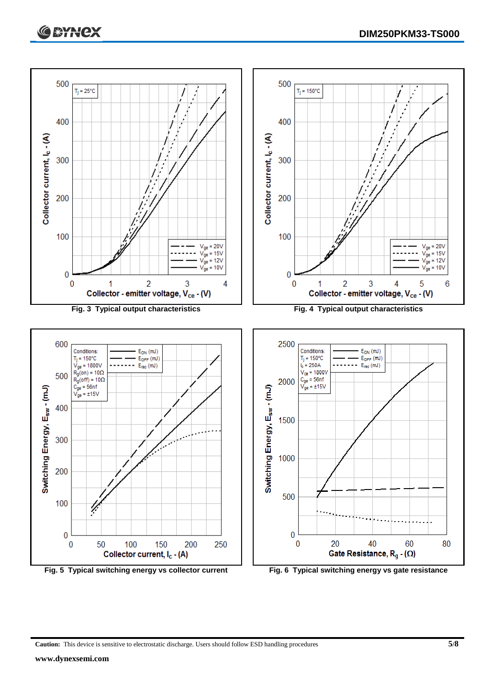



**Caution:** This device is sensitive to electrostatic discharge. Users should follow ESD handling procedures **5/8**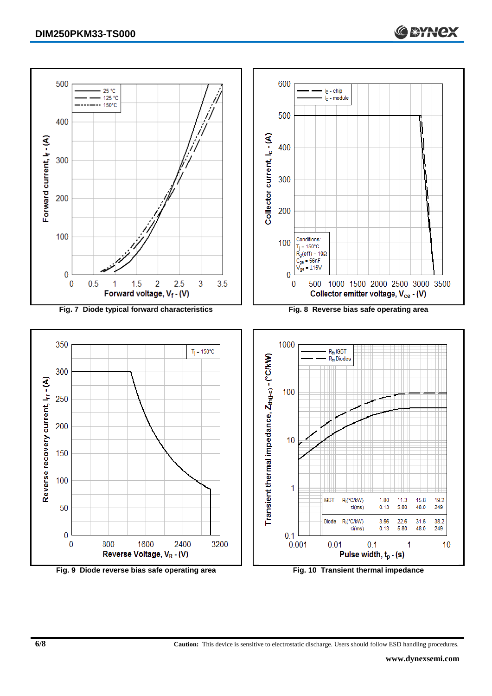

**Fig. 9 Diode reverse bias safe operating area Fig. 10 Transient thermal impedance**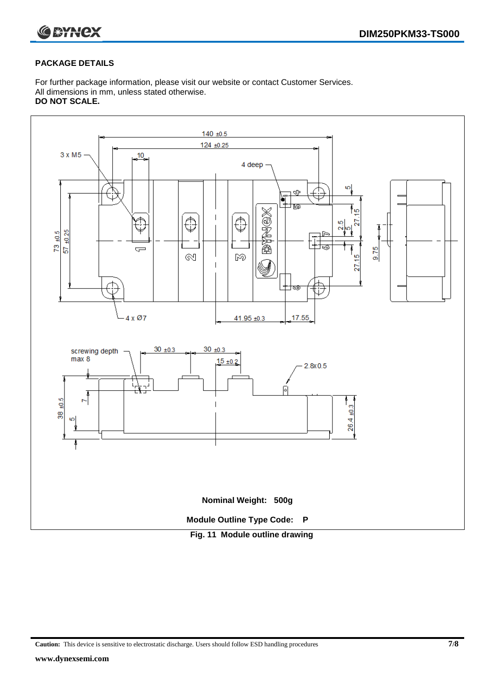

#### **PACKAGE DETAILS**

For further package information, please visit our website or contact Customer Services. All dimensions in mm, unless stated otherwise. **DO NOT SCALE.**



**Caution:** This device is sensitive to electrostatic discharge. Users should follow ESD handling procedures **7/8**